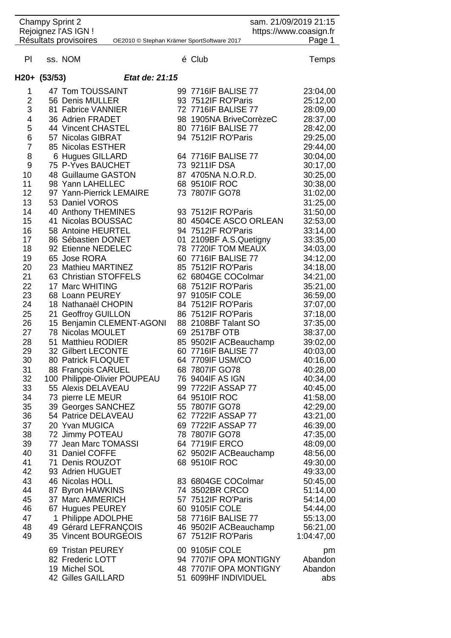| <b>Champy Sprint 2</b><br>Rejoignez l'AS IGN ! |                                           |                                            | sam. 21/09/2019 21:15<br>https://www.coasign.fr |                                                  |  |                      |
|------------------------------------------------|-------------------------------------------|--------------------------------------------|-------------------------------------------------|--------------------------------------------------|--|----------------------|
|                                                | Résultats provisoires                     | OE2010 © Stephan Krämer SportSoftware 2017 |                                                 |                                                  |  | Page 1               |
|                                                |                                           |                                            |                                                 |                                                  |  |                      |
| PI                                             | ss. NOM                                   |                                            |                                                 | é Club                                           |  | Temps                |
|                                                |                                           |                                            |                                                 |                                                  |  |                      |
|                                                | H20+ (53/53)                              | Etat de: 21:15                             |                                                 |                                                  |  |                      |
| 1                                              | 47 Tom TOUSSAINT                          |                                            |                                                 | 99 7716 F BALISE 77                              |  | 23:04,00             |
| $\overline{2}$                                 | 56 Denis MULLER                           |                                            |                                                 | 93 7512IF RO'Paris                               |  | 25:12,00             |
| 3                                              | 81 Fabrice VANNIER                        |                                            |                                                 | 72 7716IF BALISE 77                              |  | 28:09,00             |
| 4                                              | 36 Adrien FRADET                          |                                            |                                                 | 98 1905NA BriveCorrèzeC                          |  | 28:37,00             |
| 5                                              | 44 Vincent CHASTEL                        |                                            |                                                 | 80 7716 F BALISE 77                              |  | 28:42,00             |
| 6                                              | 57 Nicolas GIBRAT                         |                                            |                                                 | 94 7512IF RO'Paris                               |  | 29:25,00             |
| $\overline{7}$                                 | 85 Nicolas ESTHER                         |                                            |                                                 |                                                  |  | 29:44,00             |
| 8                                              | 6 Hugues GILLARD                          |                                            |                                                 | 64 7716IF BALISE 77                              |  | 30:04,00             |
| 9                                              | 75 P-Yves BAUCHET                         |                                            |                                                 | 73 9211IF DSA                                    |  | 30:17,00             |
| 10                                             | 48 Guillaume GASTON                       |                                            |                                                 | 87 4705NA N.O.R.D.                               |  | 30:25,00             |
| 11                                             | 98 Yann LAHELLEC                          |                                            |                                                 | 68 9510IF ROC                                    |  | 30:38,00             |
| 12                                             | 97 Yann-Pierrick LEMAIRE                  |                                            |                                                 | 73 7807IF GO78                                   |  | 31:02,00             |
| 13                                             | 53 Daniel VOROS                           |                                            |                                                 |                                                  |  | 31:25,00             |
| 14                                             | 40 Anthony THEMINES                       |                                            |                                                 | 93 7512IF RO'Paris                               |  | 31:50,00             |
| 15                                             | 41 Nicolas BOUSSAC                        |                                            |                                                 | 80 4504CE ASCO ORLEAN                            |  | 32:53,00             |
| 16                                             | 58 Antoine HEURTEL                        |                                            |                                                 | 94 7512IF RO'Paris                               |  | 33:14,00             |
| 17                                             | 86 Sébastien DONET                        |                                            |                                                 | 01 2109BF A.S.Quetigny                           |  | 33:35,00             |
| 18                                             | 92 Etienne NEDELEC                        |                                            |                                                 | 78 7720IF TOM MEAUX                              |  | 34:03,00             |
| 19                                             | 65 Jose RORA                              |                                            |                                                 | 60 7716IF BALISE 77                              |  | 34:12,00             |
| 20                                             | 23 Mathieu MARTINEZ                       |                                            |                                                 | 85 7512IF RO'Paris                               |  | 34:18,00             |
| 21                                             | 63 Christian STOFFELS                     |                                            |                                                 | 62 6804GE COColmar                               |  | 34:21,00             |
| 22                                             | 17 Marc WHITING                           |                                            |                                                 | 68 7512IF RO'Paris                               |  | 35:21,00             |
| 23                                             | 68 Loann PEUREY                           |                                            |                                                 | 97 9105IF COLE                                   |  | 36:59,00             |
| 24                                             | 18 Nathanaël CHOPIN                       |                                            |                                                 | 84 7512IF RO'Paris                               |  | 37:07,00             |
| 25                                             | <b>Geoffroy GUILLON</b><br>21             |                                            |                                                 | 86 7512IF RO'Paris                               |  | 37:18,00             |
| 26                                             |                                           | 15 Benjamin CLEMENT-AGONI                  |                                                 | 88 2108BF Talant SO                              |  | 37:35,00             |
| 27                                             | 78 Nicolas MOULET                         |                                            |                                                 | 69 2517BF OTB                                    |  | 38:37,00             |
| 28                                             | 51 Matthieu RODIER                        |                                            |                                                 | 85 9502IF ACBeauchamp                            |  | 39:02,00             |
| 29                                             | 32 Gilbert LECONTE                        |                                            |                                                 | 60 7716IF BALISE 77                              |  | 40:03,00             |
| 30                                             | 80 Patrick FLOQUET                        |                                            |                                                 | 64 7709IF USM/CO                                 |  | 40:16,00             |
| 31                                             | 88 François CARUEL                        |                                            |                                                 | 68 7807IF GO78                                   |  | 40:28,00             |
| 32                                             | 100 Philippe-Olivier POUPEAU              |                                            |                                                 | 76 9404IF AS IGN                                 |  | 40:34,00             |
| 33                                             | 55 Alexis DELAVEAU                        |                                            |                                                 | 99 7722IF ASSAP 77                               |  | 40:45,00             |
| 34                                             | 73 pierre LE MEUR                         |                                            |                                                 | 64 9510IF ROC                                    |  | 41:58,00             |
| 35<br>36                                       | 39 Georges SANCHEZ<br>54 Patrice DELAVEAU |                                            |                                                 | 55 7807IF GO78<br>62 7722IF ASSAP 77             |  | 42:29,00             |
| 37                                             |                                           |                                            |                                                 | 69 7722IF ASSAP 77                               |  | 43:21,00             |
| 38                                             | 20 Yvan MUGICA<br>72 Jimmy POTEAU         |                                            |                                                 | 78 7807IF GO78                                   |  | 46:39,00<br>47:35,00 |
| 39                                             | 77 Jean Marc TOMASSI                      |                                            |                                                 | 64 7719IF ERCO                                   |  | 48:09,00             |
| 40                                             | 31 Daniel COFFE                           |                                            |                                                 | 62 9502IF ACBeauchamp                            |  | 48:56,00             |
| 41                                             | 71 Denis ROUZOT                           |                                            |                                                 | 68 9510IF ROC                                    |  | 49:30,00             |
| 42                                             | 93 Adrien HUGUET                          |                                            |                                                 |                                                  |  | 49:33,00             |
| 43                                             | 46 Nicolas HOLL                           |                                            |                                                 | 83 6804GE COColmar                               |  | 50:45,00             |
| 44                                             | 87 Byron HAWKINS                          |                                            |                                                 | 74 3502BR CRCO                                   |  | 51:14,00             |
| 45                                             | 37 Marc AMMERICH                          |                                            |                                                 | 57 7512IF RO'Paris                               |  | 54:14,00             |
| 46                                             | 67 Hugues PEUREY                          |                                            |                                                 | 60 9105IF COLE                                   |  | 54:44,00             |
| 47                                             | 1 Philippe ADOLPHE                        |                                            |                                                 | 58 7716IF BALISE 77                              |  | 55:13,00             |
| 48                                             | 49 Gérard LEFRANÇOIS                      |                                            |                                                 | 46 9502IF ACBeauchamp                            |  | 56:21,00             |
| 49                                             | 35 Vincent BOURGEOIS                      |                                            |                                                 | 67 7512IF RO'Paris                               |  | 1:04:47,00           |
|                                                |                                           |                                            |                                                 |                                                  |  |                      |
|                                                | 69 Tristan PEUREY                         |                                            |                                                 | 00 9105IF COLE                                   |  | pm                   |
|                                                | 82 Frederic LOTT                          |                                            |                                                 | 94 7707IF OPA MONTIGNY<br>48 7707IF OPA MONTIGNY |  | Abandon              |
|                                                | 19 Michel SOL<br>42 Gilles GAILLARD       |                                            |                                                 | 51 6099HF INDIVIDUEL                             |  | Abandon<br>abs       |
|                                                |                                           |                                            |                                                 |                                                  |  |                      |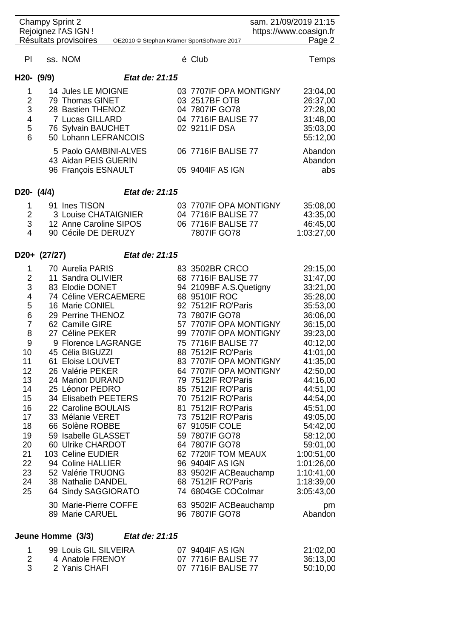| <b>Champy Sprint 2</b><br>sam. 21/09/2019 21:15<br>Rejoignez l'AS IGN !<br>https://www.coasign.fr<br>Résultats provisoires<br>OE2010 © Stephan Krämer SportSoftware 2017         |                                |                                                                                                                                                                                                                                                                                                                                                                                                                                                                                                                                        |                | Page 2 |                                                                                                                                                                                                                                                                                                                                                                                                                                                                                                                                                                   |                                                                                                                                                                                                                                                                                                                    |  |
|----------------------------------------------------------------------------------------------------------------------------------------------------------------------------------|--------------------------------|----------------------------------------------------------------------------------------------------------------------------------------------------------------------------------------------------------------------------------------------------------------------------------------------------------------------------------------------------------------------------------------------------------------------------------------------------------------------------------------------------------------------------------------|----------------|--------|-------------------------------------------------------------------------------------------------------------------------------------------------------------------------------------------------------------------------------------------------------------------------------------------------------------------------------------------------------------------------------------------------------------------------------------------------------------------------------------------------------------------------------------------------------------------|--------------------------------------------------------------------------------------------------------------------------------------------------------------------------------------------------------------------------------------------------------------------------------------------------------------------|--|
|                                                                                                                                                                                  |                                |                                                                                                                                                                                                                                                                                                                                                                                                                                                                                                                                        |                |        |                                                                                                                                                                                                                                                                                                                                                                                                                                                                                                                                                                   |                                                                                                                                                                                                                                                                                                                    |  |
| PI.                                                                                                                                                                              |                                | ss. NOM                                                                                                                                                                                                                                                                                                                                                                                                                                                                                                                                |                |        | é Club                                                                                                                                                                                                                                                                                                                                                                                                                                                                                                                                                            | <b>Temps</b>                                                                                                                                                                                                                                                                                                       |  |
| H20- (9/9)                                                                                                                                                                       |                                |                                                                                                                                                                                                                                                                                                                                                                                                                                                                                                                                        | Etat de: 21:15 |        |                                                                                                                                                                                                                                                                                                                                                                                                                                                                                                                                                                   |                                                                                                                                                                                                                                                                                                                    |  |
| 1<br>$\overline{2}$<br>3<br>$\overline{4}$<br>5<br>6                                                                                                                             |                                | 14 Jules LE MOIGNE<br>79 Thomas GINET<br>28 Bastien THENOZ<br>7 Lucas GILLARD<br>76 Sylvain BAUCHET<br>50 Lohann LEFRANCOIS<br>5 Paolo GAMBINI-ALVES<br>43 Aidan PEIS GUERIN<br>96 François ESNAULT                                                                                                                                                                                                                                                                                                                                    |                |        | 03 7707IF OPA MONTIGNY<br>03 2517BF OTB<br>04 7807IF GO78<br>04 7716IF BALISE 77<br>02 9211IF DSA<br>06 7716IF BALISE 77<br>05 9404IF AS IGN                                                                                                                                                                                                                                                                                                                                                                                                                      | 23:04,00<br>26:37,00<br>27:28,00<br>31:48,00<br>35:03,00<br>55:12,00<br>Abandon<br>Abandon<br>abs                                                                                                                                                                                                                  |  |
|                                                                                                                                                                                  |                                |                                                                                                                                                                                                                                                                                                                                                                                                                                                                                                                                        |                |        |                                                                                                                                                                                                                                                                                                                                                                                                                                                                                                                                                                   |                                                                                                                                                                                                                                                                                                                    |  |
| D20- (4/4)<br>1<br>$\overline{2}$<br>3<br>$\overline{\mathbf{4}}$                                                                                                                |                                | 91 Ines TISON<br>3 Louise CHATAIGNIER<br>12 Anne Caroline SIPOS<br>90 Cécile DE DERUZY                                                                                                                                                                                                                                                                                                                                                                                                                                                 | Etat de: 21:15 |        | 03 7707IF OPA MONTIGNY<br>04 7716IF BALISE 77<br>06 7716IF BALISE 77<br>7807IF GO78                                                                                                                                                                                                                                                                                                                                                                                                                                                                               | 35:08,00<br>43:35,00<br>46:45,00<br>1:03:27,00                                                                                                                                                                                                                                                                     |  |
|                                                                                                                                                                                  | Etat de: 21:15<br>D20+ (27/27) |                                                                                                                                                                                                                                                                                                                                                                                                                                                                                                                                        |                |        |                                                                                                                                                                                                                                                                                                                                                                                                                                                                                                                                                                   |                                                                                                                                                                                                                                                                                                                    |  |
| 1<br>$\overline{2}$<br>3<br>$\overline{4}$<br>5<br>6<br>$\overline{7}$<br>8<br>9<br>10<br>11<br>12<br>13<br>14<br>15<br>16<br>17<br>18<br>19<br>20<br>21<br>22<br>23<br>24<br>25 |                                | 70 Aurelia PARIS<br>11 Sandra OLIVIER<br>83 Elodie DONET<br>74 Céline VERCAEMERE<br>16 Marie CONIEL<br>29 Perrine THENOZ<br>62 Camille GIRE<br>27 Céline PEKER<br>9 Florence LAGRANGE<br>45 Célia BIGUZZI<br>61 Eloise LOUVET<br>26 Valérie PEKER<br>24 Marion DURAND<br>25 Léonor PEDRO<br>34 Elisabeth PEETERS<br>22 Caroline BOULAIS<br>33 Mélanie VERET<br>66 Solène ROBBE<br>59 Isabelle GLASSET<br>60 Ulrike CHARDOT<br>103 Celine EUDIER<br>94 Coline HALLIER<br>52 Valérie TRUONG<br>38 Nathalie DANDEL<br>64 Sindy SAGGIORATO |                |        | 83 3502BR CRCO<br>68 7716IF BALISE 77<br>94 2109BF A.S.Quetigny<br>68 9510IF ROC<br>92 7512IF RO'Paris<br>73 7807IF GO78<br>57 7707IF OPA MONTIGNY<br>99 7707IF OPA MONTIGNY<br>75 7716IF BALISE 77<br>88 7512IF RO'Paris<br>83 7707IF OPA MONTIGNY<br>64 7707IF OPA MONTIGNY<br>79 7512IF RO'Paris<br>85 7512IF RO'Paris<br>70 7512IF RO'Paris<br>81 7512IF RO'Paris<br>73 7512IF RO'Paris<br>67 9105IF COLE<br>59 7807IF GO78<br>64 7807IF GO78<br>62 7720IF TOM MEAUX<br>96 9404IF AS IGN<br>83 9502IF ACBeauchamp<br>68 7512IF RO'Paris<br>74 6804GE COColmar | 29:15,00<br>31:47,00<br>33:21,00<br>35:28,00<br>35:53,00<br>36:06,00<br>36:15,00<br>39:23,00<br>40:12,00<br>41:01,00<br>41:35,00<br>42:50,00<br>44:16,00<br>44:51,00<br>44:54,00<br>45:51,00<br>49:05,00<br>54:42,00<br>58:12,00<br>59:01,00<br>1:00:51,00<br>1:01:26,00<br>1:10:41,00<br>1:18:39,00<br>3:05:43,00 |  |
|                                                                                                                                                                                  |                                | 30 Marie-Pierre COFFE<br>89 Marie CARUEL                                                                                                                                                                                                                                                                                                                                                                                                                                                                                               |                |        | 63 9502IF ACBeauchamp<br>96 7807IF GO78                                                                                                                                                                                                                                                                                                                                                                                                                                                                                                                           | pm<br>Abandon                                                                                                                                                                                                                                                                                                      |  |

## **Jeune Homme (3/3)** *Etat de: 21:15*

| 99 Louis GIL SILVEIRA | 07 9404IF AS IGN    | 21:02,00 |
|-----------------------|---------------------|----------|
| 4 Anatole FRENOY      | 07 7716 F BALISE 77 | 36:13,00 |
| 2 Yanis CHAFI         | 07 7716 F BALISE 77 | 50:10,00 |